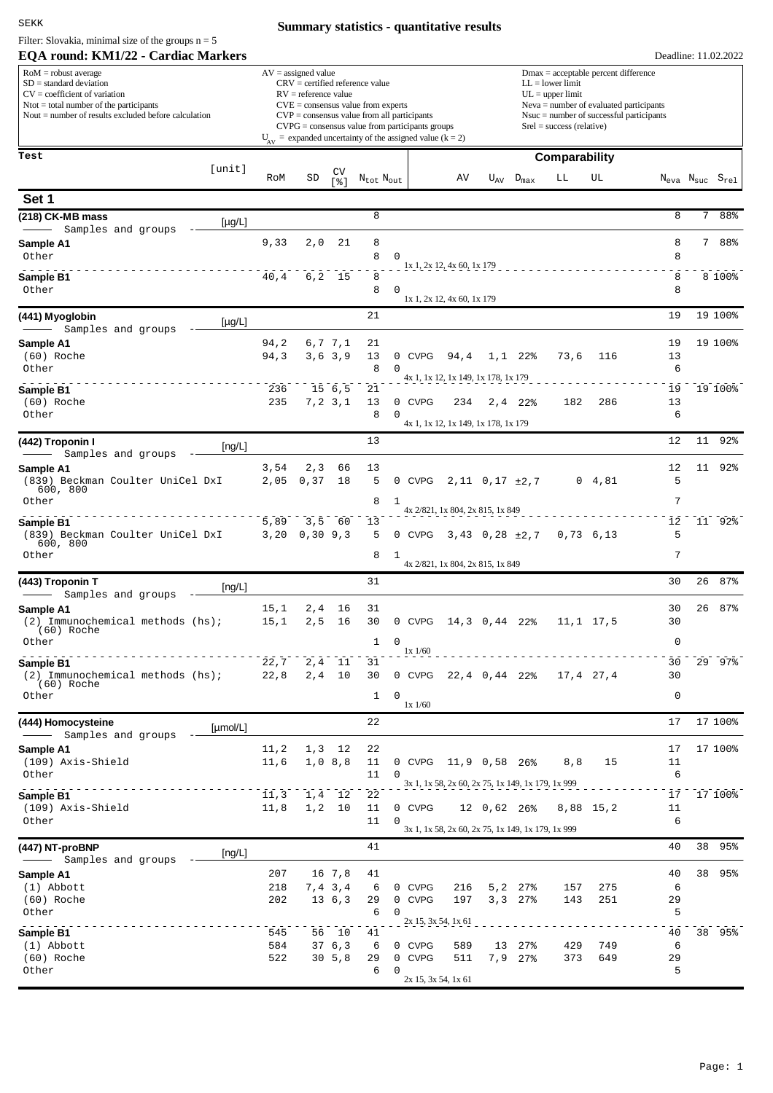## SEKK

Filter: Slovakia, minimal size of the groups  $n = 5$ 

## **Summary statistics - quantitative results**

| EQA round: KM1/22 - Cardiac Markers                                                                                                                                                            |               |                                                 |                           |                                                                                  |                                                                                                                                                                                   |                                                                                                        |                                                                                                                                                                                                               |                    |               |                     | Deadline: 11.02.2022                               |    |         |
|------------------------------------------------------------------------------------------------------------------------------------------------------------------------------------------------|---------------|-------------------------------------------------|---------------------------|----------------------------------------------------------------------------------|-----------------------------------------------------------------------------------------------------------------------------------------------------------------------------------|--------------------------------------------------------------------------------------------------------|---------------------------------------------------------------------------------------------------------------------------------------------------------------------------------------------------------------|--------------------|---------------|---------------------|----------------------------------------------------|----|---------|
| $RoM =$ robust average<br>$SD = standard deviation$<br>$CV = coefficient of variation$<br>$N$ tot = total number of the participants<br>Nout $=$ number of results excluded before calculation |               | $AV = assigned value$<br>$RV =$ reference value |                           | $CRV =$ certified reference value<br>$CVE = \text{consensus value from experts}$ | $CVP = \text{consensus value from all participants}$<br>$CVPG = \text{consensus value from participants groups}$<br>$U_{av}$ = expanded uncertainty of the assigned value (k = 2) |                                                                                                        | $Dmax = acceptable percent difference$<br>$LL = lower limit$<br>$UL = upper limit$<br>$Neva = number of evaluated participants$<br>$N$ suc = number of successful participants<br>$Srel = success$ (relative) |                    |               |                     |                                                    |    |         |
| Test                                                                                                                                                                                           |               |                                                 |                           |                                                                                  |                                                                                                                                                                                   |                                                                                                        |                                                                                                                                                                                                               |                    | Comparability |                     |                                                    |    |         |
| [unit]                                                                                                                                                                                         | RoM           | SD                                              | CV<br>[ % ]               | $\rm N_{tot}$ $\rm N_{out}$                                                      |                                                                                                                                                                                   | AV                                                                                                     |                                                                                                                                                                                                               | $U_{AV}$ $D_{max}$ | LL            | UL                  | $N_{\text{eva}}$ $N_{\text{suc}}$ $S_{\text{rel}}$ |    |         |
| Set 1                                                                                                                                                                                          |               |                                                 |                           |                                                                                  |                                                                                                                                                                                   |                                                                                                        |                                                                                                                                                                                                               |                    |               |                     |                                                    |    |         |
| (218) CK-MB mass<br>$[\mu$ g/L]<br>Samples and groups                                                                                                                                          |               |                                                 |                           | 8                                                                                |                                                                                                                                                                                   |                                                                                                        |                                                                                                                                                                                                               |                    |               |                     | 8                                                  |    | 7 88%   |
| Sample A1<br>Other                                                                                                                                                                             | 9,33          | 2,0                                             | 21                        | 8<br>8                                                                           | 0                                                                                                                                                                                 | 1x 1, 2x 12, 4x 60, 1x 179                                                                             |                                                                                                                                                                                                               |                    |               |                     | 8<br>8                                             |    | 7 88%   |
| Sample B1<br>Other                                                                                                                                                                             | 40,4          |                                                 | $6, 2$ 15                 | 8<br>8                                                                           | 0                                                                                                                                                                                 | 1x 1, 2x 12, 4x 60, 1x 179                                                                             |                                                                                                                                                                                                               |                    |               |                     | 8<br>8                                             |    | 8 100%  |
| (441) Myoglobin<br>$[\mu g/L]$<br>Samples and groups                                                                                                                                           |               |                                                 |                           | 21                                                                               |                                                                                                                                                                                   |                                                                                                        |                                                                                                                                                                                                               |                    |               |                     | 19                                                 |    | 19 100% |
| Sample A1<br>(60) Roche<br>Other                                                                                                                                                               | 94,2<br>94,3  |                                                 | 6,7 7,1<br>3, 6, 3, 9     | 21<br>13<br>8                                                                    | 0 CVPG<br>$\Omega$                                                                                                                                                                | 94,4                                                                                                   |                                                                                                                                                                                                               | $1,1$ 22%          | 73,6          | 116                 | 19<br>13<br>6                                      |    | 19 100% |
| Sample B1<br>(60) Roche<br>Other                                                                                                                                                               | 236<br>235    |                                                 | $15 \t6, 5$<br>7, 2, 3, 1 | 21<br>13<br>8                                                                    | 0 CVPG<br>$\Omega$                                                                                                                                                                | 4x 1, 1x 12, 1x 149, 1x 178, 1x 179<br>234                                                             |                                                                                                                                                                                                               | $2, 4$ 22%         | 182           | 286                 | 19<br>13<br>6                                      |    | 19 100% |
| (442) Troponin I                                                                                                                                                                               |               |                                                 |                           | 13                                                                               |                                                                                                                                                                                   | 4x 1, 1x 12, 1x 149, 1x 178, 1x 179                                                                    |                                                                                                                                                                                                               |                    |               |                     | 12                                                 | 11 | 92%     |
| [ng/L]<br>Samples and groups<br>Sample A1                                                                                                                                                      | 3,54          | 2,3                                             | 66                        | 13                                                                               |                                                                                                                                                                                   |                                                                                                        |                                                                                                                                                                                                               |                    |               |                     | 12                                                 | 11 | 92%     |
| (839) Beckman Coulter UniCel DxI<br>600, 800<br>Other                                                                                                                                          | 2,05          | 0, 37                                           | 18                        | 5<br>8                                                                           | 0 CVPG<br>1                                                                                                                                                                       |                                                                                                        | $2,11$ 0, 17 $\pm 2,7$                                                                                                                                                                                        |                    |               | $0 \t 4,81$         | 5<br>7                                             |    |         |
| Sample B1<br>(839) Beckman Coulter UniCel DxI<br>600, 800<br>Other                                                                                                                             | 5,89<br>3,20  | 3,5<br>0, 30, 9, 3                              | 60                        | 13<br>5<br>8                                                                     | 1                                                                                                                                                                                 | 4x 2/821, 1x 804, 2x 815, 1x 849<br>0 CVPG $3,43$ 0,28 $\pm 2,7$                                       |                                                                                                                                                                                                               |                    |               | 0,73,6,13           | $1\,2$<br>5<br>7                                   |    | 11 92%  |
|                                                                                                                                                                                                |               |                                                 |                           | 31                                                                               |                                                                                                                                                                                   | 4x 2/821, 1x 804, 2x 815, 1x 849                                                                       |                                                                                                                                                                                                               |                    |               |                     | 30                                                 | 26 | 87%     |
| (443) Troponin T<br>[ng/L]<br>Samples and groups                                                                                                                                               |               |                                                 |                           |                                                                                  |                                                                                                                                                                                   |                                                                                                        |                                                                                                                                                                                                               |                    |               |                     |                                                    |    |         |
| Sample A1<br>(2) Immunochemical methods (hs);<br>(60) Roche<br>Other                                                                                                                           | 15,1<br>15,1  | 2,4<br>2, 5                                     | 16<br>16                  | 31<br>30<br>$\mathbf{1}$                                                         | 0 CVPG<br>$\mathbf 0$                                                                                                                                                             |                                                                                                        | 14,3 0,44 22%                                                                                                                                                                                                 |                    |               | $11, 1 \quad 17, 5$ | 30<br>30<br>$\mathbf 0$                            | 26 | 87%     |
| Sample B1<br>(2) Immunochemical methods (hs);<br>$(60)$ Roche                                                                                                                                  | 22,7<br>22,8  | 2, 4                                            | 11<br>$2, 4$ 10           | 31<br>30                                                                         | $1x\frac{1}{60}$<br>0 CVPG                                                                                                                                                        |                                                                                                        | 22,4 0,44 22%                                                                                                                                                                                                 |                    |               | 17,4 27,4           | 30<br>30                                           |    | 29 97%  |
| Other                                                                                                                                                                                          |               |                                                 |                           | 1                                                                                | 0<br>$1x\frac{1}{60}$                                                                                                                                                             |                                                                                                        |                                                                                                                                                                                                               |                    |               |                     | 0                                                  |    |         |
| (444) Homocysteine<br>[µmol/L]<br>Samples and groups                                                                                                                                           |               |                                                 |                           | 22                                                                               |                                                                                                                                                                                   |                                                                                                        |                                                                                                                                                                                                               |                    |               |                     | 17                                                 |    | 17 100% |
| Sample A1<br>(109) Axis-Shield<br>Other                                                                                                                                                        | 11, 2<br>11,6 | 1,3                                             | 12<br>$1,0$ 8,8           | 22<br>11<br>11                                                                   | 0                                                                                                                                                                                 | 0 CVPG 11,9 0,58 26%                                                                                   |                                                                                                                                                                                                               |                    | 8, 8          | 15                  | 17<br>11<br>6                                      |    | 17 100% |
| Sample B1<br>(109) Axis-Shield<br>Other                                                                                                                                                        | 11,3<br>11,8  |                                                 | 1,4 12<br>$1, 2$ 10       | 22<br>11<br>11                                                                   | 0 CVPG<br>0                                                                                                                                                                       | 3x 1, 1x 58, 2x 60, 2x 75, 1x 149, 1x 179, 1x 999<br>3x 1, 1x 58, 2x 60, 2x 75, 1x 149, 1x 179, 1x 999 | $12 \t0,62 \t26$                                                                                                                                                                                              |                    |               | 8,88 15,2           | 17<br>11<br>6                                      |    | 17 100% |
| (447) NT-proBNP<br>[ng/L]                                                                                                                                                                      |               |                                                 |                           | 41                                                                               |                                                                                                                                                                                   |                                                                                                        |                                                                                                                                                                                                               |                    |               |                     | 40                                                 |    | 38 95%  |
| Samples and groups<br>Sample A1                                                                                                                                                                | 207           |                                                 | 16 7,8                    | 41                                                                               |                                                                                                                                                                                   |                                                                                                        |                                                                                                                                                                                                               |                    |               |                     | 40                                                 |    | 38 95%  |
| $(1)$ Abbott<br>(60) Roche<br>Other                                                                                                                                                            | 218<br>202    |                                                 | 7,4 3,4<br>13, 6, 3       | 6<br>29<br>6                                                                     | 0 CVPG<br>0 CVPG<br>0                                                                                                                                                             | 216<br>197                                                                                             | 5, 2<br>3, 3                                                                                                                                                                                                  | 27%<br>27%         | 157<br>143    | 275<br>251          | 6<br>29<br>5                                       |    |         |
| Sample B1                                                                                                                                                                                      | 545           |                                                 | 56 10                     | 41                                                                               |                                                                                                                                                                                   | 2x 15, 3x 54, 1x 61                                                                                    |                                                                                                                                                                                                               |                    |               |                     | 40                                                 |    | 38 95%  |
| $(1)$ Abbott<br>(60) Roche<br>Other                                                                                                                                                            | 584<br>522    |                                                 | 37 6,3<br>30, 5, 8        | 6<br>29<br>6                                                                     | 0 CVPG<br>$\mathsf{O}$<br><b>CVPG</b><br>0                                                                                                                                        | 589<br>511<br>2x 15, 3x 54, 1x 61                                                                      | 13<br>7,9                                                                                                                                                                                                     | 27%<br>$27\%$      | 429<br>373    | 749<br>649          | 6<br>29<br>5                                       |    |         |